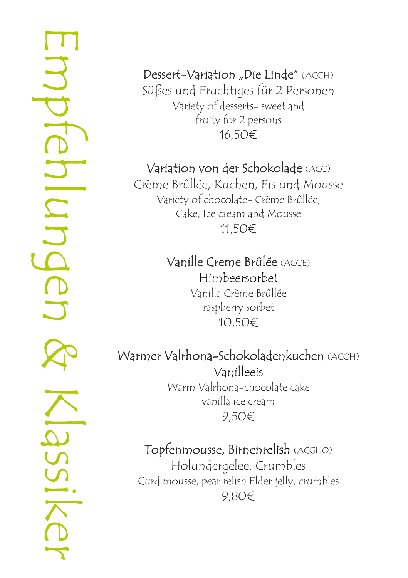Empfehlungen & Klassiker**GNI** Iunde

Dessert-Variation "Die Linde" (ACGH) Süßes und Fruchtiges für 2 Personen Variety of desserts- sweet and fruity for 2 persons 16,50€

# Variation von der Schokolade (ACG)

Crème Brûllée, Kuchen, Eis und Mousse Variety of chocolate- Crème Brûllée, Cake, Ice cream and Mousse 11,50€

# Vanille Creme Brûlée (ACGE)

Himbeersorbet Vanilla Crème Brûllée raspberry sorbet 10,50€

# Warmer Valrhona-Schokoladenkuchen (ACGH)

Vanilleeis Warm Valrhona-chocolate cake vanilla ice cream 9,50€

# Topfenmousse, Birnenrelish (ACGHO)

Holundergelee, Crumbles Curd mousse, pear relish Elder jelly, crumbles 9,80€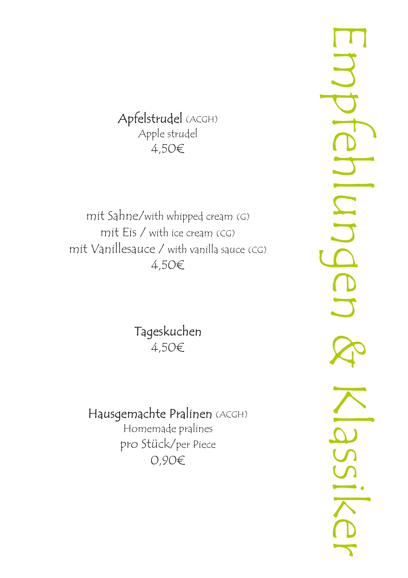### Apfelstrudel (ACGH) Apple strudel 4,50€

mit Sahne/with whipped cream (G) mit Eis / with ice cream (CG) mit Vanillesauce / with vanilla sauce (CG) 4,50€

> Tageskuchen 4,50€

# Hausgemachte Pralinen (ACGH)

Homemade pralines pro Stück/per Piece 0,90€

Empfehlungen & KlassikerIlunde SS112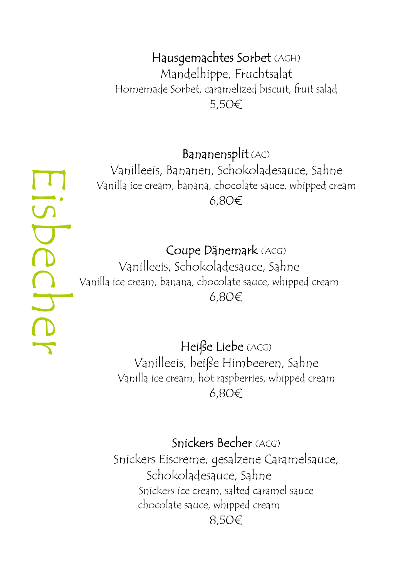#### Hausgemachtes Sorbet (AGH)

 Mandelhippe, Fruchtsalat Homemade Sorbet, caramelized biscuit, fruit salad 5,50€

#### Bananensplit (AC)

 Vanilleeis, Bananen, Schokoladesauce, Sahne Vanilla ice cream, banana, chocolate sauce, whipped cream 6,80€

#### Coupe Dänemark (ACG)

Vanilleeis, Schokoladesauce, Sahne Vanilla ice cream, banana, chocolate sauce, whipped cream 6,80€

> Heiße Liebe (ACG) Vanilleeis, heiße Himbeeren, Sahne Vanilla ice cream, hot raspberries, whipped cream 6,80€

#### Snickers Becher (ACG)

 Snickers Eiscreme, gesalzene Caramelsauce, Schokoladesauce, Sahne Snickers ice cream, salted caramel sauce chocolate sauce, whipped cream 8,50€

Eisbecher